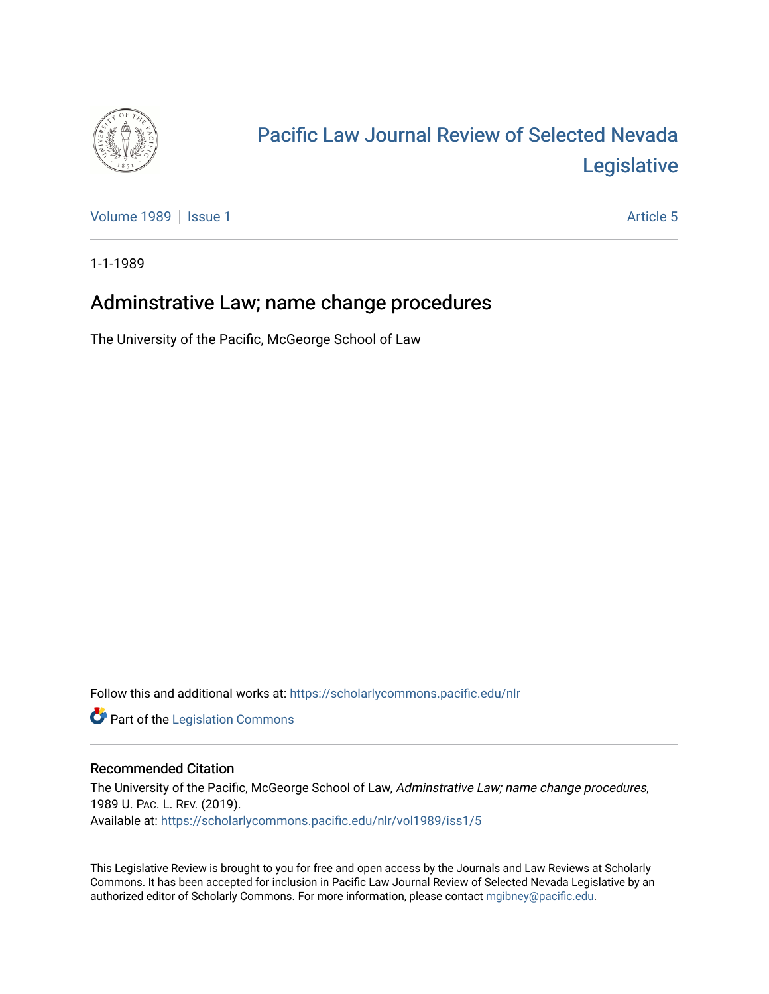

## [Pacific Law Journal Review of Selected Nevada](https://scholarlycommons.pacific.edu/nlr)  [Legislative](https://scholarlycommons.pacific.edu/nlr)

[Volume 1989](https://scholarlycommons.pacific.edu/nlr/vol1989) | [Issue 1](https://scholarlycommons.pacific.edu/nlr/vol1989/iss1) Article 5

1-1-1989

## Adminstrative Law; name change procedures

The University of the Pacific, McGeorge School of Law

Follow this and additional works at: [https://scholarlycommons.pacific.edu/nlr](https://scholarlycommons.pacific.edu/nlr?utm_source=scholarlycommons.pacific.edu%2Fnlr%2Fvol1989%2Fiss1%2F5&utm_medium=PDF&utm_campaign=PDFCoverPages) 

**Part of the [Legislation Commons](http://network.bepress.com/hgg/discipline/859?utm_source=scholarlycommons.pacific.edu%2Fnlr%2Fvol1989%2Fiss1%2F5&utm_medium=PDF&utm_campaign=PDFCoverPages)** 

## Recommended Citation

The University of the Pacific, McGeorge School of Law, Adminstrative Law; name change procedures, 1989 U. PAC. L. REV. (2019). Available at: [https://scholarlycommons.pacific.edu/nlr/vol1989/iss1/5](https://scholarlycommons.pacific.edu/nlr/vol1989/iss1/5?utm_source=scholarlycommons.pacific.edu%2Fnlr%2Fvol1989%2Fiss1%2F5&utm_medium=PDF&utm_campaign=PDFCoverPages) 

This Legislative Review is brought to you for free and open access by the Journals and Law Reviews at Scholarly Commons. It has been accepted for inclusion in Pacific Law Journal Review of Selected Nevada Legislative by an authorized editor of Scholarly Commons. For more information, please contact [mgibney@pacific.edu](mailto:mgibney@pacific.edu).